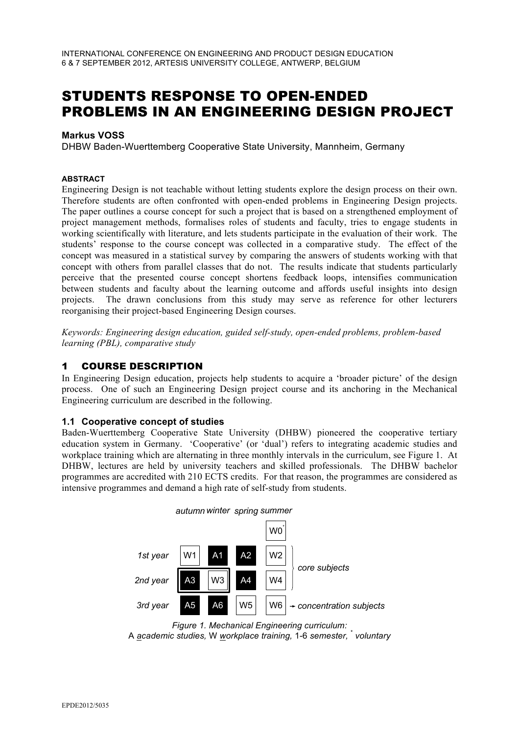# STUDENTS RESPONSE TO OPEN-ENDED PROBLEMS IN AN ENGINEERING DESIGN PROJECT

### **Markus VOSS**

DHBW Baden-Wuerttemberg Cooperative State University, Mannheim, Germany

#### **ABSTRACT**

Engineering Design is not teachable without letting students explore the design process on their own. Therefore students are often confronted with open-ended problems in Engineering Design projects. The paper outlines a course concept for such a project that is based on a strengthened employment of project management methods, formalises roles of students and faculty, tries to engage students in working scientifically with literature, and lets students participate in the evaluation of their work. The students' response to the course concept was collected in a comparative study. The effect of the concept was measured in a statistical survey by comparing the answers of students working with that concept with others from parallel classes that do not. The results indicate that students particularly perceive that the presented course concept shortens feedback loops, intensifies communication between students and faculty about the learning outcome and affords useful insights into design projects. The drawn conclusions from this study may serve as reference for other lecturers reorganising their project-based Engineering Design courses.

*Keywords: Engineering design education, guided self-study, open-ended problems, problem-based learning (PBL), comparative study*

### 1 COURSE DESCRIPTION

In Engineering Design education, projects help students to acquire a 'broader picture' of the design process. One of such an Engineering Design project course and its anchoring in the Mechanical Engineering curriculum are described in the following.

### **1.1 Cooperative concept of studies**

Baden-Wuerttemberg Cooperative State University (DHBW) pioneered the cooperative tertiary education system in Germany. 'Cooperative' (or 'dual') refers to integrating academic studies and workplace training which are alternating in three monthly intervals in the curriculum, see Figure 1. At DHBW, lectures are held by university teachers and skilled professionals. The DHBW bachelor programmes are accredited with 210 ECTS credits. For that reason, the programmes are considered as intensive programmes and demand a high rate of self-study from students.



*Figure 1. Mechanical Engineering curriculum:* A *academic studies,* W *workplace training,* 1-6 *semester,* \* *voluntary*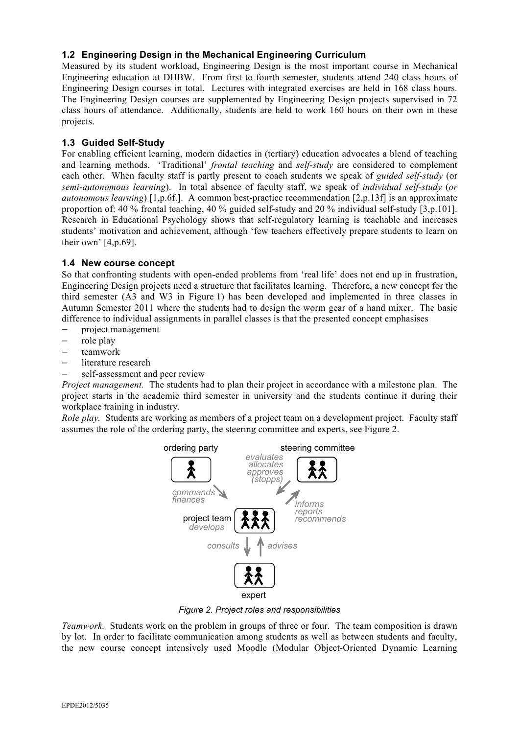# **1.2 Engineering Design in the Mechanical Engineering Curriculum**

Measured by its student workload, Engineering Design is the most important course in Mechanical Engineering education at DHBW. From first to fourth semester, students attend 240 class hours of Engineering Design courses in total. Lectures with integrated exercises are held in 168 class hours. The Engineering Design courses are supplemented by Engineering Design projects supervised in 72 class hours of attendance. Additionally, students are held to work 160 hours on their own in these projects.

### **1.3 Guided Self-Study**

For enabling efficient learning, modern didactics in (tertiary) education advocates a blend of teaching and learning methods. 'Traditional' *frontal teaching* and *self-study* are considered to complement each other. When faculty staff is partly present to coach students we speak of *guided self-study* (or *semi-autonomous learning*). In total absence of faculty staff, we speak of *individual self-study* (*or autonomous learning*) [1,p.6f.]. A common best-practice recommendation [2,p.13f] is an approximate proportion of: 40 % frontal teaching, 40 % guided self-study and 20 % individual self-study [3,p.101]. Research in Educational Psychology shows that self-regulatory learning is teachable and increases students' motivation and achievement, although 'few teachers effectively prepare students to learn on their own' [4,p.69].

# **1.4 New course concept**

So that confronting students with open-ended problems from 'real life' does not end up in frustration, Engineering Design projects need a structure that facilitates learning. Therefore, a new concept for the third semester (A3 and W3 in Figure 1) has been developed and implemented in three classes in Autumn Semester 2011 where the students had to design the worm gear of a hand mixer. The basic difference to individual assignments in parallel classes is that the presented concept emphasises

- project management
- role play
- teamwork
- literature research
- self-assessment and peer review

*Project management.* The students had to plan their project in accordance with a milestone plan. The project starts in the academic third semester in university and the students continue it during their workplace training in industry.

*Role play.* Students are working as members of a project team on a development project. Faculty staff assumes the role of the ordering party, the steering committee and experts, see Figure 2.



*Figure 2. Project roles and responsibilities*

*Teamwork.* Students work on the problem in groups of three or four. The team composition is drawn by lot. In order to facilitate communication among students as well as between students and faculty, the new course concept intensively used Moodle (Modular Object-Oriented Dynamic Learning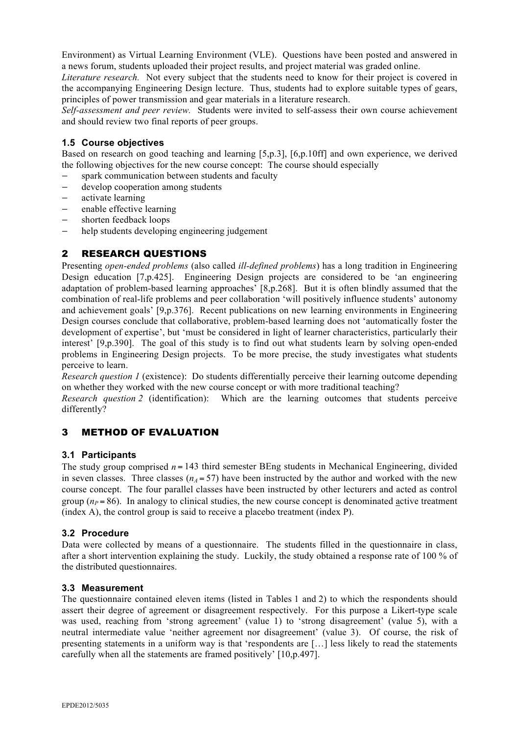Environment) as Virtual Learning Environment (VLE). Questions have been posted and answered in a news forum, students uploaded their project results, and project material was graded online.

*Literature research.* Not every subject that the students need to know for their project is covered in the accompanying Engineering Design lecture. Thus, students had to explore suitable types of gears, principles of power transmission and gear materials in a literature research.

*Self-assessment and peer review.* Students were invited to self-assess their own course achievement and should review two final reports of peer groups.

### **1.5 Course objectives**

Based on research on good teaching and learning [5,p.3], [6,p.10ff] and own experience, we derived the following objectives for the new course concept: The course should especially

- spark communication between students and faculty
- develop cooperation among students
- activate learning
- enable effective learning
- shorten feedback loops
- help students developing engineering judgement

# 2 RESEARCH QUESTIONS

Presenting *open-ended problems* (also called *ill-defined problems*) has a long tradition in Engineering Design education [7,p.425]. Engineering Design projects are considered to be 'an engineering adaptation of problem-based learning approaches' [8,p.268]. But it is often blindly assumed that the combination of real-life problems and peer collaboration 'will positively influence students' autonomy and achievement goals' [9,p.376]. Recent publications on new learning environments in Engineering Design courses conclude that collaborative, problem-based learning does not 'automatically foster the development of expertise', but 'must be considered in light of learner characteristics, particularly their interest' [9,p.390]. The goal of this study is to find out what students learn by solving open-ended problems in Engineering Design projects. To be more precise, the study investigates what students perceive to learn.

*Research question 1* (existence): Do students differentially perceive their learning outcome depending on whether they worked with the new course concept or with more traditional teaching?

*Research question 2* (identification): Which are the learning outcomes that students perceive differently?

# 3 METHOD OF EVALUATION

### **3.1 Participants**

The study group comprised  $n = 143$  third semester BEng students in Mechanical Engineering, divided in seven classes. Three classes  $(n_A = 57)$  have been instructed by the author and worked with the new course concept. The four parallel classes have been instructed by other lecturers and acted as control group ( $n_P$  = 86). In analogy to clinical studies, the new course concept is denominated active treatment (index A), the control group is said to receive a placebo treatment (index P).

### **3.2 Procedure**

Data were collected by means of a questionnaire. The students filled in the questionnaire in class, after a short intervention explaining the study. Luckily, the study obtained a response rate of 100 % of the distributed questionnaires.

### **3.3 Measurement**

The questionnaire contained eleven items (listed in Tables 1 and 2) to which the respondents should assert their degree of agreement or disagreement respectively. For this purpose a Likert-type scale was used, reaching from 'strong agreement' (value 1) to 'strong disagreement' (value 5), with a neutral intermediate value 'neither agreement nor disagreement' (value 3). Of course, the risk of presenting statements in a uniform way is that 'respondents are […] less likely to read the statements carefully when all the statements are framed positively' [10,p.497].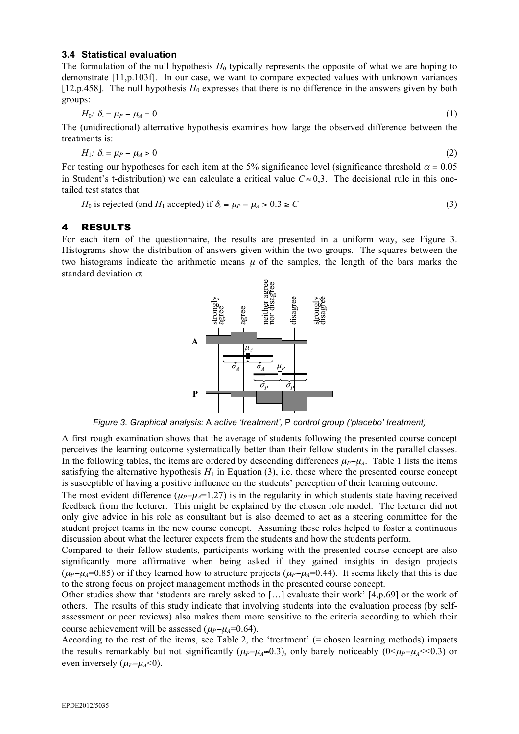#### **3.4 Statistical evaluation**

The formulation of the null hypothesis  $H_0$  typically represents the opposite of what we are hoping to demonstrate [11,p.103f]. In our case, we want to compare expected values with unknown variances [12,p.458]. The null hypothesis  $H_0$  expresses that there is no difference in the answers given by both groups:

$$
H_0: \delta_{\scriptscriptstyle \mu} = \mu - \mu_A = 0 \tag{1}
$$

The (unidirectional) alternative hypothesis examines how large the observed difference between the treatments is:

$$
H_1: \delta_{\scriptscriptstyle \mu} = \mu_P - \mu_A > 0 \tag{2}
$$

For testing our hypotheses for each item at the 5% significance level (significance threshold  $\alpha = 0.05$ ) in Student's t-distribution) we can calculate a critical value  $C \approx 0.3$ . The decisional rule in this onetailed test states that

*H*<sub>0</sub> is rejected (and *H*<sub>1</sub> accepted) if  $\delta_a = \mu_p - \mu_A > 0.3 \ge C$  (3)

#### 4 RESULTS

For each item of the questionnaire, the results are presented in a uniform way, see Figure 3. Histograms show the distribution of answers given within the two groups. The squares between the two histograms indicate the arithmetic means  $\mu$  of the samples, the length of the bars marks the standard deviation <sup>σ</sup>*.*



*Figure 3. Graphical analysis:* A *active 'treatment',* P *control group ('placebo' treatment)*

A first rough examination shows that the average of students following the presented course concept perceives the learning outcome systematically better than their fellow students in the parallel classes. In the following tables, the items are ordered by descending differences  $\mu_P$ − $\mu_A$ . Table 1 lists the items satisfying the alternative hypothesis  $H_1$  in Equation (3), i.e. those where the presented course concept is susceptible of having a positive influence on the students' perception of their learning outcome.

The most evident difference  $(\mu_P-\mu_A=1.27)$  is in the regularity in which students state having received feedback from the lecturer. This might be explained by the chosen role model. The lecturer did not only give advice in his role as consultant but is also deemed to act as a steering committee for the student project teams in the new course concept. Assuming these roles helped to foster a continuous discussion about what the lecturer expects from the students and how the students perform.

Compared to their fellow students, participants working with the presented course concept are also significantly more affirmative when being asked if they gained insights in design projects  $(\mu_P - \mu_A = 0.85)$  or if they learned how to structure projects  $(\mu_P - \mu_A = 0.44)$ . It seems likely that this is due to the strong focus on project management methods in the presented course concept.

Other studies show that 'students are rarely asked to [...] evaluate their work'  $[4,p.69]$  or the work of others. The results of this study indicate that involving students into the evaluation process (by selfassessment or peer reviews) also makes them more sensitive to the criteria according to which their course achievement will be assessed ( $\mu_P - \mu_A = 0.64$ ).

According to the rest of the items, see Table 2, the 'treatment' (= chosen learning methods) impacts the results remarkably but not significantly ( $\mu_P - \mu_A \approx 0.3$ ), only barely noticeably (0< $\mu_P - \mu_A \ll 0.3$ ) or even inversely  $(\mu_P - \mu_A < 0)$ .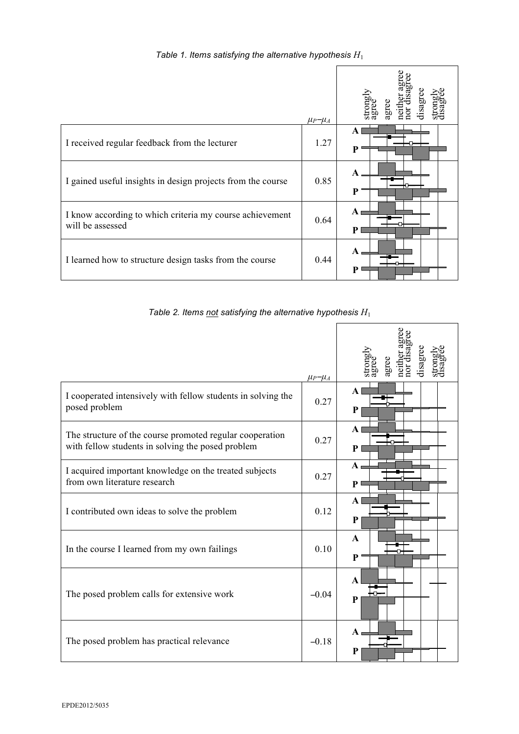# *Table 1. Items satisfying the alternative hypothesis H*<sup>1</sup>

|                                                                              | $\mu_P - \mu_A$ |                   |
|------------------------------------------------------------------------------|-----------------|-------------------|
| I received regular feedback from the lecturer                                | 1.27            | $\mathbf{A}$<br>P |
| I gained useful insights in design projects from the course                  | 0.85            | A<br>P            |
| I know according to which criteria my course achievement<br>will be assessed | 0.64            | $\mathbf{A}$<br>P |
| I learned how to structure design tasks from the course                      | 0.44            | $\mathbf{A}$<br>P |

*Table 2. Items not satisfying the alternative hypothesis H*<sup>1</sup>

 $\mathbf{r}$ 

|                                                                                                               | $\mu_P - \mu_A$ |                              |
|---------------------------------------------------------------------------------------------------------------|-----------------|------------------------------|
| I cooperated intensively with fellow students in solving the<br>posed problem                                 | 0.27            | $\mathbf{A}$<br>$\mathbf{P}$ |
| The structure of the course promoted regular cooperation<br>with fellow students in solving the posed problem | 0.27            | $\mathbf{A}$<br>P            |
| I acquired important knowledge on the treated subjects<br>from own literature research                        | 0.27            | $\mathbf{A}$<br>P            |
| I contributed own ideas to solve the problem                                                                  | 0.12            | $\mathbf{A}$<br>P            |
| In the course I learned from my own failings                                                                  | 0.10            | $\mathbf{A}$<br>P            |
| The posed problem calls for extensive work                                                                    | $-0.04$         | $\mathbf{A}$<br>P            |
| The posed problem has practical relevance                                                                     | $-0.18$         | $\mathbf{A}$<br>P            |